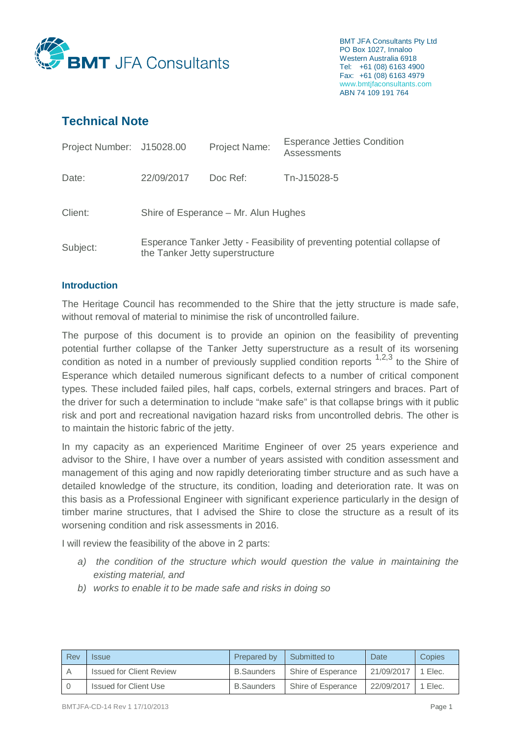

BMT JFA Consultants Pty Ltd PO Box 1027, Innaloo Western Australia 6918 Tel: +61 (08) 6163 4900 Fax: +61 (08) 6163 4979 www.bmtjfaconsultants.com ABN 74 109 191 764

# **Technical Note**

| Project Number: J15028.00 |                                                                                                             | <b>Project Name:</b> | <b>Esperance Jetties Condition</b><br><b>Assessments</b> |  |
|---------------------------|-------------------------------------------------------------------------------------------------------------|----------------------|----------------------------------------------------------|--|
| Date:                     | 22/09/2017                                                                                                  | Doc Ref:             | Tn-J15028-5                                              |  |
| Client:                   | Shire of Esperance – Mr. Alun Hughes                                                                        |                      |                                                          |  |
| Subject:                  | Esperance Tanker Jetty - Feasibility of preventing potential collapse of<br>the Tanker Jetty superstructure |                      |                                                          |  |

## **Introduction**

The Heritage Council has recommended to the Shire that the jetty structure is made safe, without removal of material to minimise the risk of uncontrolled failure.

The purpose of this document is to provide an opinion on the feasibility of preventing potential further collapse of the Tanker Jetty superstructure as a result of its worsening condition as noted in a number of previously supplied condition reports  $1,2,3$  to the Shire of Esperance which detailed numerous significant defects to a number of critical component types. These included failed piles, half caps, corbels, external stringers and braces. Part of the driver for such a determination to include "make safe" is that collapse brings with it public risk and port and recreational navigation hazard risks from uncontrolled debris. The other is to maintain the historic fabric of the jetty.

In my capacity as an experienced Maritime Engineer of over 25 years experience and advisor to the Shire, I have over a number of years assisted with condition assessment and management of this aging and now rapidly deteriorating timber structure and as such have a detailed knowledge of the structure, its condition, loading and deterioration rate. It was on this basis as a Professional Engineer with significant experience particularly in the design of timber marine structures, that I advised the Shire to close the structure as a result of its worsening condition and risk assessments in 2016.

I will review the feasibility of the above in 2 parts:

- *a) the condition of the structure which would question the value in maintaining the existing material, and*
- *b) works to enable it to be made safe and risks in doing so*

| Rev | <i><b>Issue</b></i>             | Prepared by       | Submitted to       | Date <sup>-</sup>    | Copies |
|-----|---------------------------------|-------------------|--------------------|----------------------|--------|
| A   | <b>Issued for Client Review</b> | <b>B.Saunders</b> | Shire of Esperance | 21/09/2017   1 Elec. |        |
|     | Issued for Client Use           | <b>B.Saunders</b> | Shire of Esperance | 22/09/2017 1 Elec.   |        |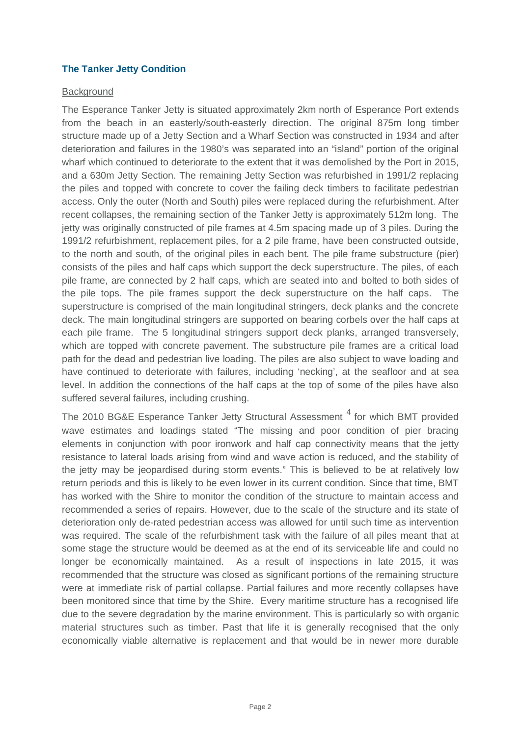## **The Tanker Jetty Condition**

#### **Background**

The Esperance Tanker Jetty is situated approximately 2km north of Esperance Port extends from the beach in an easterly/south-easterly direction. The original 875m long timber structure made up of a Jetty Section and a Wharf Section was constructed in 1934 and after deterioration and failures in the 1980's was separated into an "island" portion of the original wharf which continued to deteriorate to the extent that it was demolished by the Port in 2015, and a 630m Jetty Section. The remaining Jetty Section was refurbished in 1991/2 replacing the piles and topped with concrete to cover the failing deck timbers to facilitate pedestrian access. Only the outer (North and South) piles were replaced during the refurbishment. After recent collapses, the remaining section of the Tanker Jetty is approximately 512m long. The jetty was originally constructed of pile frames at 4.5m spacing made up of 3 piles. During the 1991/2 refurbishment, replacement piles, for a 2 pile frame, have been constructed outside, to the north and south, of the original piles in each bent. The pile frame substructure (pier) consists of the piles and half caps which support the deck superstructure. The piles, of each pile frame, are connected by 2 half caps, which are seated into and bolted to both sides of the pile tops. The pile frames support the deck superstructure on the half caps. The superstructure is comprised of the main longitudinal stringers, deck planks and the concrete deck. The main longitudinal stringers are supported on bearing corbels over the half caps at each pile frame. The 5 longitudinal stringers support deck planks, arranged transversely, which are topped with concrete pavement. The substructure pile frames are a critical load path for the dead and pedestrian live loading. The piles are also subject to wave loading and have continued to deteriorate with failures, including 'necking', at the seafloor and at sea level. In addition the connections of the half caps at the top of some of the piles have also suffered several failures, including crushing.

The 2010 BG&E Esperance Tanker Jetty Structural Assessment  $4$  for which BMT provided wave estimates and loadings stated "The missing and poor condition of pier bracing elements in conjunction with poor ironwork and half cap connectivity means that the jetty resistance to lateral loads arising from wind and wave action is reduced, and the stability of the jetty may be jeopardised during storm events." This is believed to be at relatively low return periods and this is likely to be even lower in its current condition. Since that time, BMT has worked with the Shire to monitor the condition of the structure to maintain access and recommended a series of repairs. However, due to the scale of the structure and its state of deterioration only de-rated pedestrian access was allowed for until such time as intervention was required. The scale of the refurbishment task with the failure of all piles meant that at some stage the structure would be deemed as at the end of its serviceable life and could no longer be economically maintained. As a result of inspections in late 2015, it was recommended that the structure was closed as significant portions of the remaining structure were at immediate risk of partial collapse. Partial failures and more recently collapses have been monitored since that time by the Shire. Every maritime structure has a recognised life due to the severe degradation by the marine environment. This is particularly so with organic material structures such as timber. Past that life it is generally recognised that the only economically viable alternative is replacement and that would be in newer more durable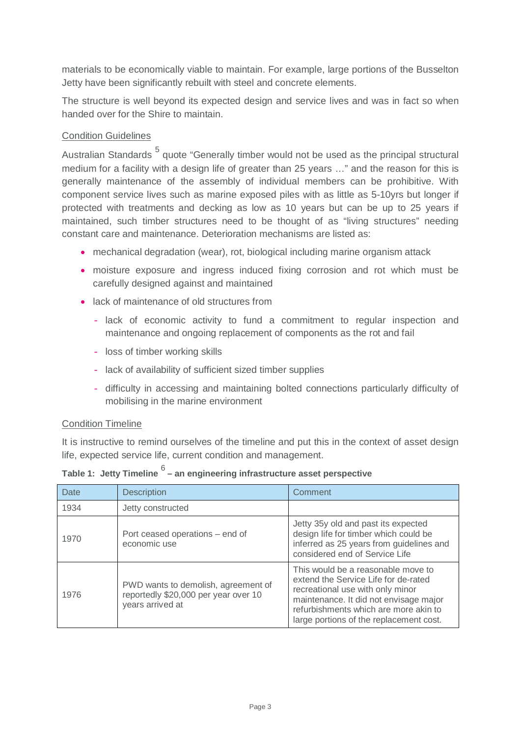materials to be economically viable to maintain. For example, large portions of the Busselton Jetty have been significantly rebuilt with steel and concrete elements.

The structure is well beyond its expected design and service lives and was in fact so when handed over for the Shire to maintain.

# Condition Guidelines

Australian Standards <sup>5</sup> quote "Generally timber would not be used as the principal structural medium for a facility with a design life of greater than 25 years …" and the reason for this is generally maintenance of the assembly of individual members can be prohibitive. With component service lives such as marine exposed piles with as little as 5-10yrs but longer if protected with treatments and decking as low as 10 years but can be up to 25 years if maintained, such timber structures need to be thought of as "living structures" needing constant care and maintenance. Deterioration mechanisms are listed as:

- mechanical degradation (wear), rot, biological including marine organism attack
- moisture exposure and ingress induced fixing corrosion and rot which must be carefully designed against and maintained
- lack of maintenance of old structures from
	- lack of economic activity to fund a commitment to regular inspection and maintenance and ongoing replacement of components as the rot and fail
	- loss of timber working skills
	- lack of availability of sufficient sized timber supplies
	- difficulty in accessing and maintaining bolted connections particularly difficulty of mobilising in the marine environment

#### Condition Timeline

It is instructive to remind ourselves of the timeline and put this in the context of asset design life, expected service life, current condition and management.

| Date | <b>Description</b>                                                                              | Comment                                                                                                                                                                                                                                      |
|------|-------------------------------------------------------------------------------------------------|----------------------------------------------------------------------------------------------------------------------------------------------------------------------------------------------------------------------------------------------|
| 1934 | Jetty constructed                                                                               |                                                                                                                                                                                                                                              |
| 1970 | Port ceased operations – end of<br>economic use                                                 | Jetty 35y old and past its expected<br>design life for timber which could be<br>inferred as 25 years from guidelines and<br>considered end of Service Life                                                                                   |
| 1976 | PWD wants to demolish, agreement of<br>reportedly \$20,000 per year over 10<br>years arrived at | This would be a reasonable move to<br>extend the Service Life for de-rated<br>recreational use with only minor<br>maintenance. It did not envisage major<br>refurbishments which are more akin to<br>large portions of the replacement cost. |

**Table 1: Jetty Timeline** <sup>6</sup> **– an engineering infrastructure asset perspective**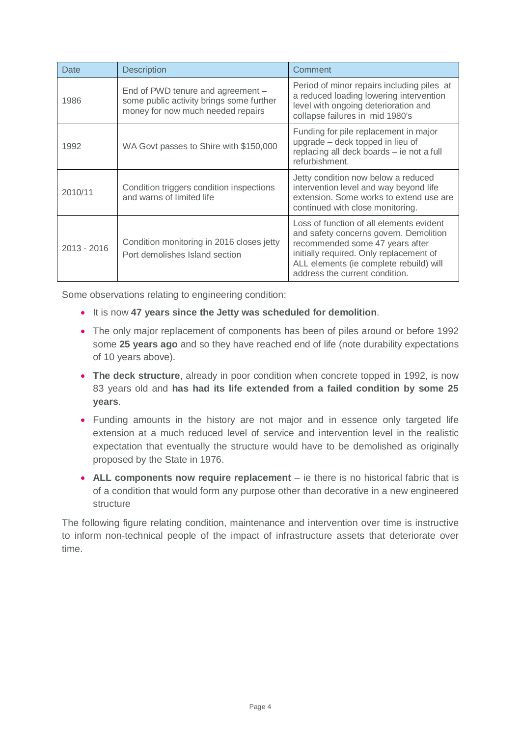| Date                                                                                       | <b>Description</b>                                                                                                 | Comment                                                                                                                                                                                                                                       |  |
|--------------------------------------------------------------------------------------------|--------------------------------------------------------------------------------------------------------------------|-----------------------------------------------------------------------------------------------------------------------------------------------------------------------------------------------------------------------------------------------|--|
| 1986                                                                                       | End of PWD tenure and agreement -<br>some public activity brings some further<br>money for now much needed repairs | Period of minor repairs including piles at<br>a reduced loading lowering intervention<br>level with ongoing deterioration and<br>collapse failures in mid 1980's                                                                              |  |
| 1992                                                                                       | WA Govt passes to Shire with \$150,000                                                                             | Funding for pile replacement in major<br>upgrade – deck topped in lieu of<br>replacing all deck boards - ie not a full<br>refurbishment.                                                                                                      |  |
| 2010/11                                                                                    | Condition triggers condition inspections<br>and warns of limited life                                              | Jetty condition now below a reduced<br>intervention level and way beyond life<br>extension. Some works to extend use are<br>continued with close monitoring.                                                                                  |  |
| Condition monitoring in 2016 closes jetty<br>2013 - 2016<br>Port demolishes Island section |                                                                                                                    | Loss of function of all elements evident<br>and safety concerns govern. Demolition<br>recommended some 47 years after<br>initially required. Only replacement of<br>ALL elements (ie complete rebuild) will<br>address the current condition. |  |

Some observations relating to engineering condition:

- x It is now **47 years since the Jetty was scheduled for demolition**.
- The only major replacement of components has been of piles around or before 1992 some **25 years ago** and so they have reached end of life (note durability expectations of 10 years above).
- **The deck structure**, already in poor condition when concrete topped in 1992, is now 83 years old and **has had its life extended from a failed condition by some 25 years**.
- Funding amounts in the history are not major and in essence only targeted life extension at a much reduced level of service and intervention level in the realistic expectation that eventually the structure would have to be demolished as originally proposed by the State in 1976.
- ALL components now require replacement ie there is no historical fabric that is of a condition that would form any purpose other than decorative in a new engineered structure

The following figure relating condition, maintenance and intervention over time is instructive to inform non-technical people of the impact of infrastructure assets that deteriorate over time.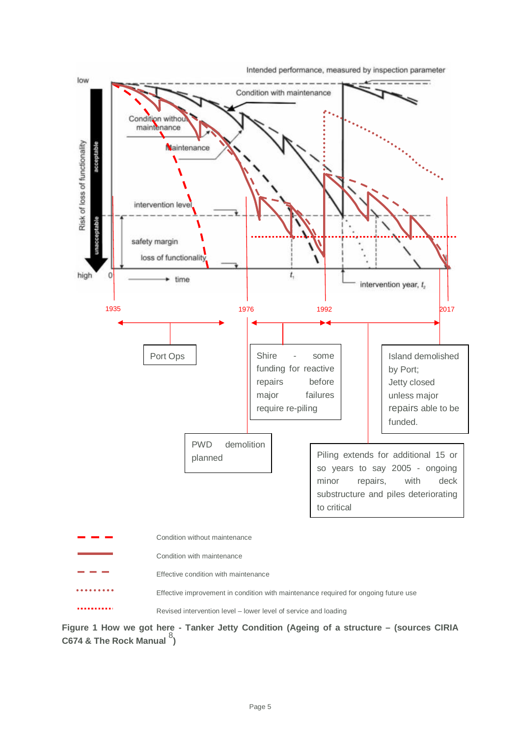Intended performance, measured by inspection parameter



**Figure 1 How we got here - Tanker Jetty Condition (Ageing of a structure – (sources CIRIA C674 & The Rock Manual** <sup>8</sup> **)**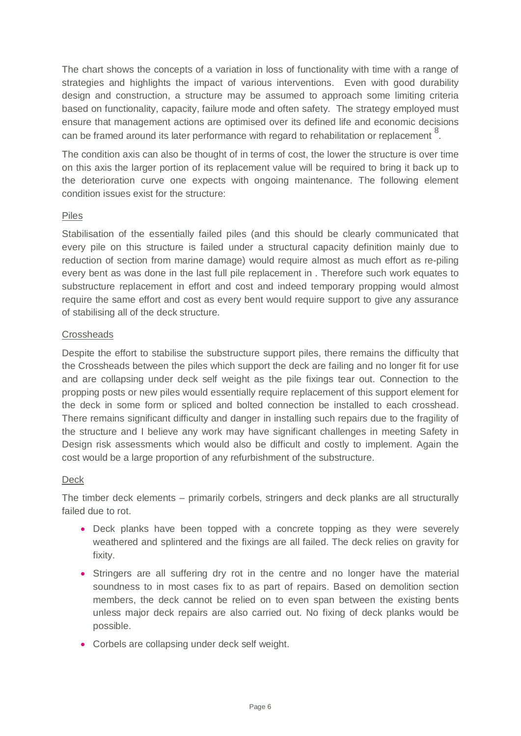The chart shows the concepts of a variation in loss of functionality with time with a range of strategies and highlights the impact of various interventions. Even with good durability design and construction, a structure may be assumed to approach some limiting criteria based on functionality, capacity, failure mode and often safety. The strategy employed must ensure that management actions are optimised over its defined life and economic decisions can be framed around its later performance with regard to rehabilitation or replacement  $8$ .

The condition axis can also be thought of in terms of cost, the lower the structure is over time on this axis the larger portion of its replacement value will be required to bring it back up to the deterioration curve one expects with ongoing maintenance. The following element condition issues exist for the structure:

# Piles

Stabilisation of the essentially failed piles (and this should be clearly communicated that every pile on this structure is failed under a structural capacity definition mainly due to reduction of section from marine damage) would require almost as much effort as re-piling every bent as was done in the last full pile replacement in . Therefore such work equates to substructure replacement in effort and cost and indeed temporary propping would almost require the same effort and cost as every bent would require support to give any assurance of stabilising all of the deck structure.

# **Crossheads**

Despite the effort to stabilise the substructure support piles, there remains the difficulty that the Crossheads between the piles which support the deck are failing and no longer fit for use and are collapsing under deck self weight as the pile fixings tear out. Connection to the propping posts or new piles would essentially require replacement of this support element for the deck in some form or spliced and bolted connection be installed to each crosshead. There remains significant difficulty and danger in installing such repairs due to the fragility of the structure and I believe any work may have significant challenges in meeting Safety in Design risk assessments which would also be difficult and costly to implement. Again the cost would be a large proportion of any refurbishment of the substructure.

#### Deck

The timber deck elements – primarily corbels, stringers and deck planks are all structurally failed due to rot.

- Deck planks have been topped with a concrete topping as they were severely weathered and splintered and the fixings are all failed. The deck relies on gravity for fixity.
- Stringers are all suffering dry rot in the centre and no longer have the material soundness to in most cases fix to as part of repairs. Based on demolition section members, the deck cannot be relied on to even span between the existing bents unless major deck repairs are also carried out. No fixing of deck planks would be possible.
- Corbels are collapsing under deck self weight.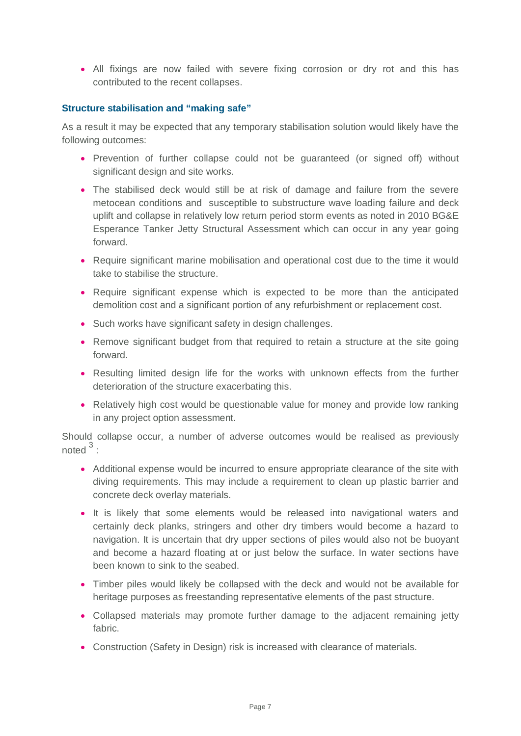• All fixings are now failed with severe fixing corrosion or dry rot and this has contributed to the recent collapses.

## **Structure stabilisation and "making safe"**

As a result it may be expected that any temporary stabilisation solution would likely have the following outcomes:

- Prevention of further collapse could not be guaranteed (or signed off) without significant design and site works.
- The stabilised deck would still be at risk of damage and failure from the severe metocean conditions and susceptible to substructure wave loading failure and deck uplift and collapse in relatively low return period storm events as noted in 2010 BG&E Esperance Tanker Jetty Structural Assessment which can occur in any year going forward.
- Require significant marine mobilisation and operational cost due to the time it would take to stabilise the structure.
- Require significant expense which is expected to be more than the anticipated demolition cost and a significant portion of any refurbishment or replacement cost.
- Such works have significant safety in design challenges.
- Remove significant budget from that required to retain a structure at the site going forward.
- Resulting limited design life for the works with unknown effects from the further deterioration of the structure exacerbating this.
- Relatively high cost would be questionable value for money and provide low ranking in any project option assessment.

Should collapse occur, a number of adverse outcomes would be realised as previously noted  $3$  :

- Additional expense would be incurred to ensure appropriate clearance of the site with diving requirements. This may include a requirement to clean up plastic barrier and concrete deck overlay materials.
- It is likely that some elements would be released into navigational waters and certainly deck planks, stringers and other dry timbers would become a hazard to navigation. It is uncertain that dry upper sections of piles would also not be buoyant and become a hazard floating at or just below the surface. In water sections have been known to sink to the seabed.
- Timber piles would likely be collapsed with the deck and would not be available for heritage purposes as freestanding representative elements of the past structure.
- Collapsed materials may promote further damage to the adjacent remaining jetty fabric.
- Construction (Safety in Design) risk is increased with clearance of materials.